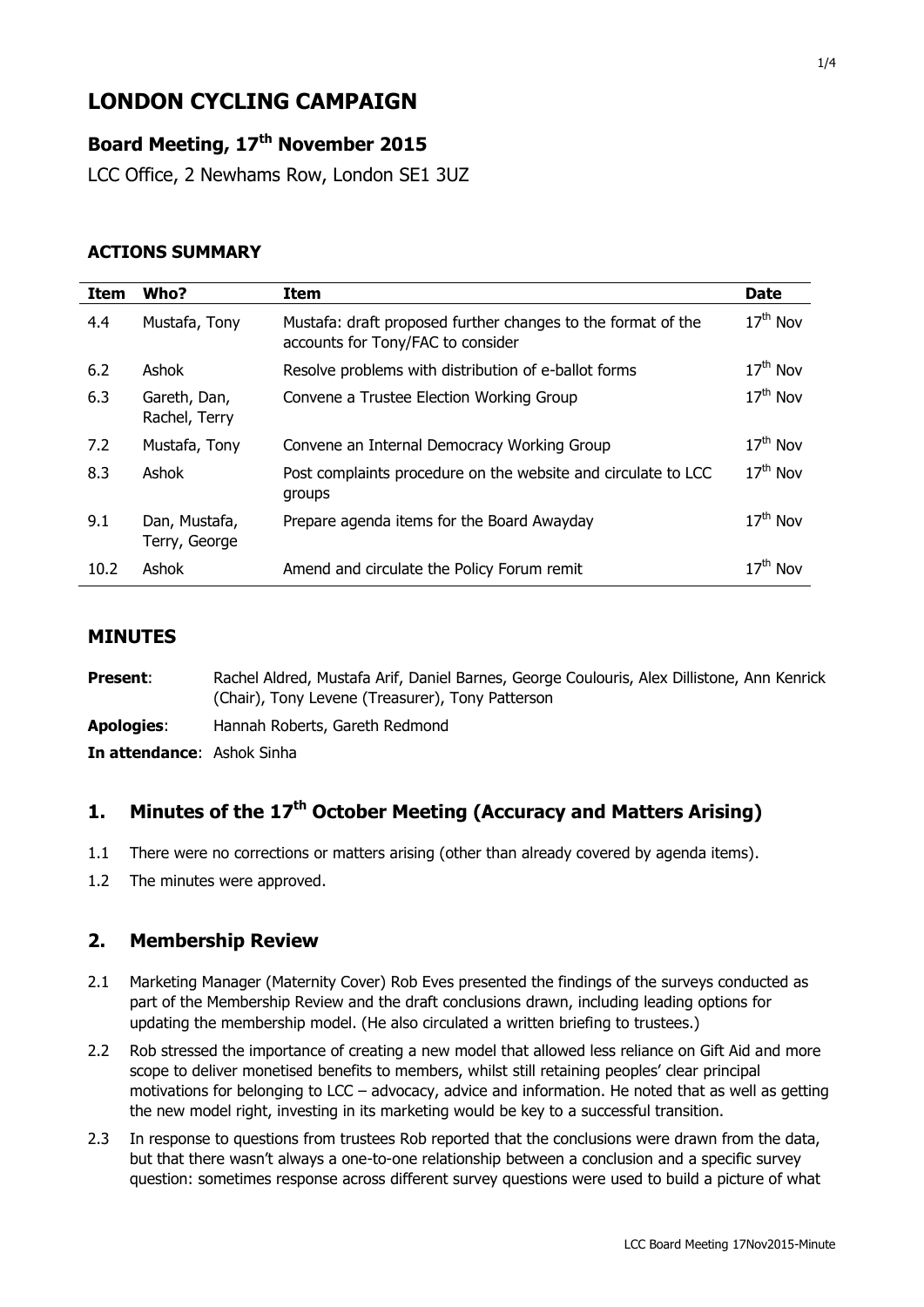# **LONDON CYCLING CAMPAIGN**

## **Board Meeting, 17 th November 2015**

LCC Office, 2 Newhams Row, London SE1 3UZ

### **ACTIONS SUMMARY**

| <b>Item</b> | Who?                           | Item                                                                                              | <b>Date</b> |
|-------------|--------------------------------|---------------------------------------------------------------------------------------------------|-------------|
| 4.4         | Mustafa, Tony                  | Mustafa: draft proposed further changes to the format of the<br>accounts for Tony/FAC to consider | $17th$ Nov  |
| 6.2         | Ashok                          | Resolve problems with distribution of e-ballot forms                                              | $17th$ Nov  |
| 6.3         | Gareth, Dan,<br>Rachel, Terry  | Convene a Trustee Election Working Group                                                          | $17th$ Nov  |
| 7.2         | Mustafa, Tony                  | Convene an Internal Democracy Working Group                                                       | $17th$ Nov  |
| 8.3         | Ashok                          | Post complaints procedure on the website and circulate to LCC<br>groups                           | $17th$ Nov  |
| 9.1         | Dan, Mustafa,<br>Terry, George | Prepare agenda items for the Board Awayday                                                        | $17th$ Nov  |
| 10.2        | Ashok                          | Amend and circulate the Policy Forum remit                                                        | $17th$ Nov  |

#### **MINUTES**

Present: Rachel Aldred, Mustafa Arif, Daniel Barnes, George Coulouris, Alex Dillistone, Ann Kenrick (Chair), Tony Levene (Treasurer), Tony Patterson **Apologies**: Hannah Roberts, Gareth Redmond **In attendance**: Ashok Sinha

## **1. Minutes of the 17th October Meeting (Accuracy and Matters Arising)**

- 1.1 There were no corrections or matters arising (other than already covered by agenda items).
- 1.2 The minutes were approved.

## **2. Membership Review**

- 2.1 Marketing Manager (Maternity Cover) Rob Eves presented the findings of the surveys conducted as part of the Membership Review and the draft conclusions drawn, including leading options for updating the membership model. (He also circulated a written briefing to trustees.)
- 2.2 Rob stressed the importance of creating a new model that allowed less reliance on Gift Aid and more scope to deliver monetised benefits to members, whilst still retaining peoples' clear principal motivations for belonging to LCC – advocacy, advice and information. He noted that as well as getting the new model right, investing in its marketing would be key to a successful transition.
- 2.3 In response to questions from trustees Rob reported that the conclusions were drawn from the data, but that there wasn't always a one-to-one relationship between a conclusion and a specific survey question: sometimes response across different survey questions were used to build a picture of what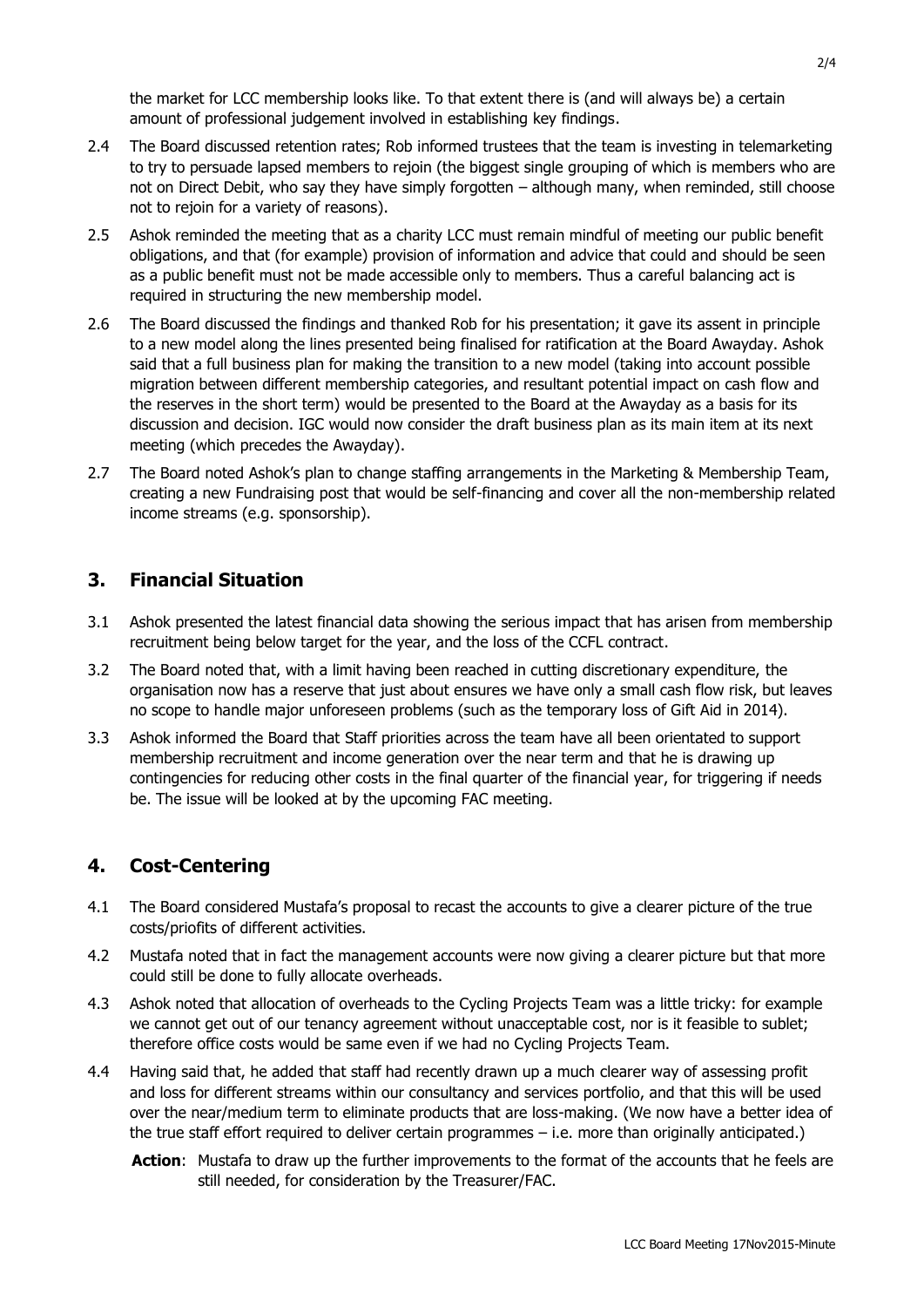the market for LCC membership looks like. To that extent there is (and will always be) a certain amount of professional judgement involved in establishing key findings.

- 2.4 The Board discussed retention rates; Rob informed trustees that the team is investing in telemarketing to try to persuade lapsed members to rejoin (the biggest single grouping of which is members who are not on Direct Debit, who say they have simply forgotten – although many, when reminded, still choose not to rejoin for a variety of reasons).
- 2.5 Ashok reminded the meeting that as a charity LCC must remain mindful of meeting our public benefit obligations, and that (for example) provision of information and advice that could and should be seen as a public benefit must not be made accessible only to members. Thus a careful balancing act is required in structuring the new membership model.
- 2.6 The Board discussed the findings and thanked Rob for his presentation; it gave its assent in principle to a new model along the lines presented being finalised for ratification at the Board Awayday. Ashok said that a full business plan for making the transition to a new model (taking into account possible migration between different membership categories, and resultant potential impact on cash flow and the reserves in the short term) would be presented to the Board at the Awayday as a basis for its discussion and decision. IGC would now consider the draft business plan as its main item at its next meeting (which precedes the Awayday).
- 2.7 The Board noted Ashok's plan to change staffing arrangements in the Marketing & Membership Team, creating a new Fundraising post that would be self-financing and cover all the non-membership related income streams (e.g. sponsorship).

## **3. Financial Situation**

- 3.1 Ashok presented the latest financial data showing the serious impact that has arisen from membership recruitment being below target for the year, and the loss of the CCFL contract.
- 3.2 The Board noted that, with a limit having been reached in cutting discretionary expenditure, the organisation now has a reserve that just about ensures we have only a small cash flow risk, but leaves no scope to handle major unforeseen problems (such as the temporary loss of Gift Aid in 2014).
- 3.3 Ashok informed the Board that Staff priorities across the team have all been orientated to support membership recruitment and income generation over the near term and that he is drawing up contingencies for reducing other costs in the final quarter of the financial year, for triggering if needs be. The issue will be looked at by the upcoming FAC meeting.

## **4. Cost-Centering**

- 4.1 The Board considered Mustafa's proposal to recast the accounts to give a clearer picture of the true costs/priofits of different activities.
- 4.2 Mustafa noted that in fact the management accounts were now giving a clearer picture but that more could still be done to fully allocate overheads.
- 4.3 Ashok noted that allocation of overheads to the Cycling Projects Team was a little tricky: for example we cannot get out of our tenancy agreement without unacceptable cost, nor is it feasible to sublet; therefore office costs would be same even if we had no Cycling Projects Team.
- 4.4 Having said that, he added that staff had recently drawn up a much clearer way of assessing profit and loss for different streams within our consultancy and services portfolio, and that this will be used over the near/medium term to eliminate products that are loss-making. (We now have a better idea of the true staff effort required to deliver certain programmes – i.e. more than originally anticipated.)
	- **Action**: Mustafa to draw up the further improvements to the format of the accounts that he feels are still needed, for consideration by the Treasurer/FAC.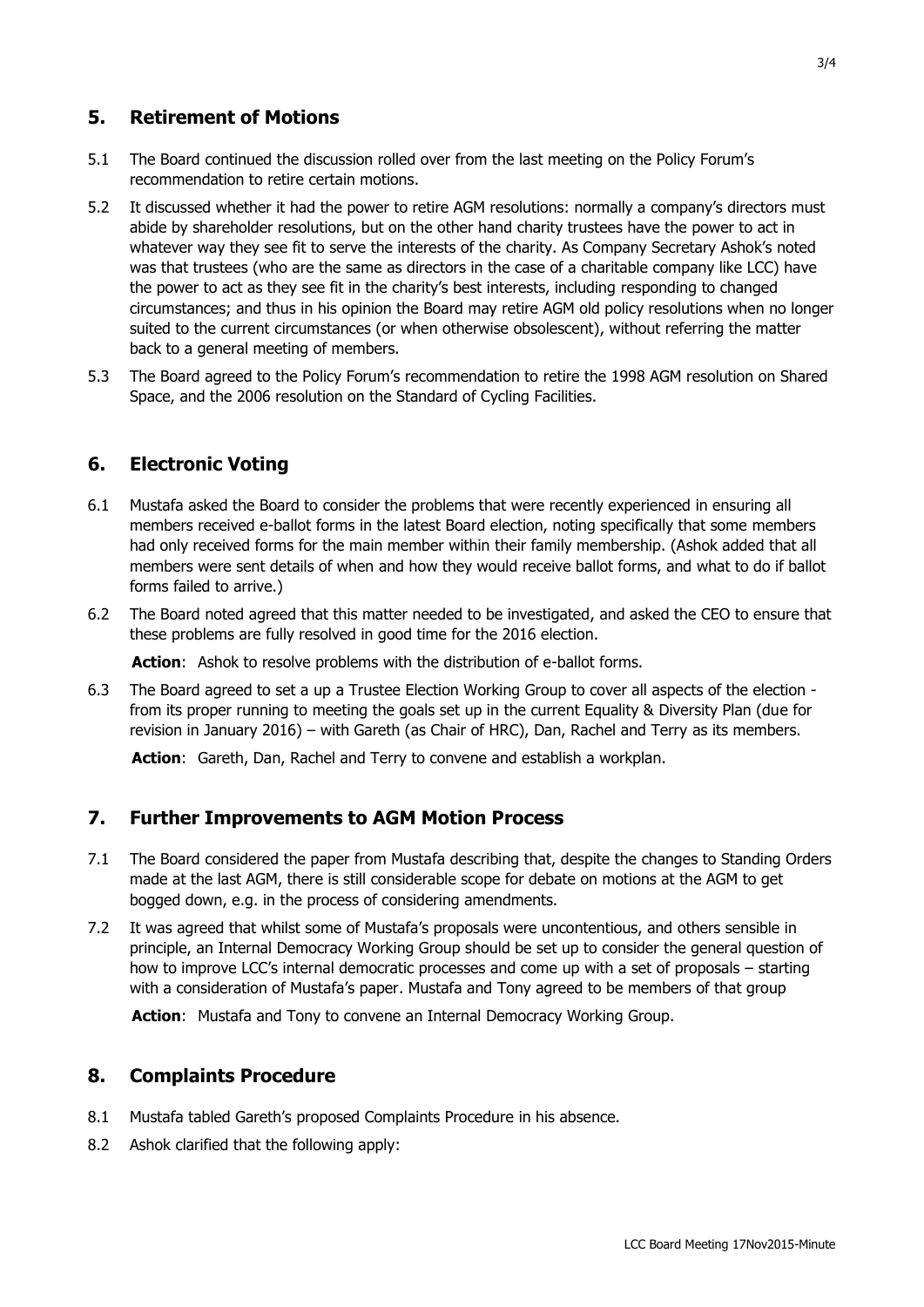#### **5. Retirement of Motions**

- 5.1 The Board continued the discussion rolled over from the last meeting on the Policy Forum's recommendation to retire certain motions.
- 5.2 It discussed whether it had the power to retire AGM resolutions: normally a company's directors must abide by shareholder resolutions, but on the other hand charity trustees have the power to act in whatever way they see fit to serve the interests of the charity. As Company Secretary Ashok's noted was that trustees (who are the same as directors in the case of a charitable company like LCC) have the power to act as they see fit in the charity's best interests, including responding to changed circumstances; and thus in his opinion the Board may retire AGM old policy resolutions when no longer suited to the current circumstances (or when otherwise obsolescent), without referring the matter back to a general meeting of members.
- 5.3 The Board agreed to the Policy Forum's recommendation to retire the 1998 AGM resolution on Shared Space, and the 2006 resolution on the Standard of Cycling Facilities.

#### **6. Electronic Voting**

- 6.1 Mustafa asked the Board to consider the problems that were recently experienced in ensuring all members received e-ballot forms in the latest Board election, noting specifically that some members had only received forms for the main member within their family membership. (Ashok added that all members were sent details of when and how they would receive ballot forms, and what to do if ballot forms failed to arrive.)
- 6.2 The Board noted agreed that this matter needed to be investigated, and asked the CEO to ensure that these problems are fully resolved in good time for the 2016 election.

**Action:** Ashok to resolve problems with the distribution of e-ballot forms.

6.3 The Board agreed to set a up a Trustee Election Working Group to cover all aspects of the election from its proper running to meeting the goals set up in the current Equality & Diversity Plan (due for revision in January 2016) – with Gareth (as Chair of HRC), Dan, Rachel and Terry as its members.

**Action**: Gareth, Dan, Rachel and Terry to convene and establish a workplan.

#### **7. Further Improvements to AGM Motion Process**

- 7.1 The Board considered the paper from Mustafa describing that, despite the changes to Standing Orders made at the last AGM, there is still considerable scope for debate on motions at the AGM to get bogged down, e.g. in the process of considering amendments.
- 7.2 It was agreed that whilst some of Mustafa's proposals were uncontentious, and others sensible in principle, an Internal Democracy Working Group should be set up to consider the general question of how to improve LCC's internal democratic processes and come up with a set of proposals – starting with a consideration of Mustafa's paper. Mustafa and Tony agreed to be members of that group

Action: Mustafa and Tony to convene an Internal Democracy Working Group.

#### **8. Complaints Procedure**

- 8.1 Mustafa tabled Gareth's proposed Complaints Procedure in his absence.
- 8.2 Ashok clarified that the following apply: